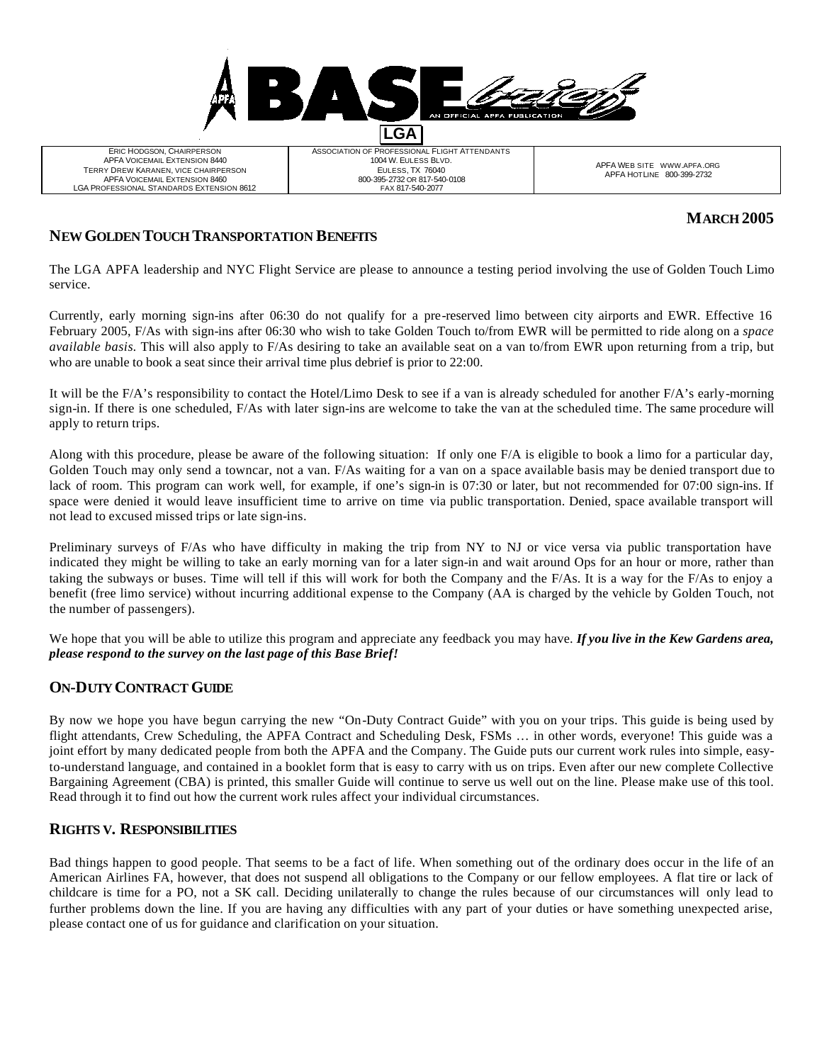**LGA**

ERIC HODGSON, CHAIRPERSON APFA VOICEMAIL EXTENSION 8440 TERRY DREW KARANEN, VICE CHAIRPERSON APFA VOICEMAIL EXTENSION 8460 LGA PROFESSIONAL STANDARDS EXTENSION 8612 ASSOCIATION OF PROFESSIONAL FLIGHT ATTENDANTS 1004 W. EULESS BLVD. EULESS, TX 76040 800-395-2732 OR 817-540-0108 FAX 817-540-2077

APFA WEB SITE WWW.APFA.ORG APFA HOTLINE 800-399-2732

# **MARCH 2005**

## **NEW GOLDEN TOUCH TRANSPORTATION BENEFITS**

The LGA APFA leadership and NYC Flight Service are please to announce a testing period involving the use of Golden Touch Limo service.

Currently, early morning sign-ins after 06:30 do not qualify for a pre-reserved limo between city airports and EWR. Effective 16 February 2005, F/As with sign-ins after 06:30 who wish to take Golden Touch to/from EWR will be permitted to ride along on a *space available basis.* This will also apply to F/As desiring to take an available seat on a van to/from EWR upon returning from a trip, but who are unable to book a seat since their arrival time plus debrief is prior to 22:00.

It will be the F/A's responsibility to contact the Hotel/Limo Desk to see if a van is already scheduled for another F/A's early-morning sign-in. If there is one scheduled, F/As with later sign-ins are welcome to take the van at the scheduled time. The same procedure will apply to return trips.

Along with this procedure, please be aware of the following situation: If only one F/A is eligible to book a limo for a particular day, Golden Touch may only send a towncar, not a van. F/As waiting for a van on a space available basis may be denied transport due to lack of room. This program can work well, for example, if one's sign-in is 07:30 or later, but not recommended for 07:00 sign-ins. If space were denied it would leave insufficient time to arrive on time via public transportation. Denied, space available transport will not lead to excused missed trips or late sign-ins.

Preliminary surveys of F/As who have difficulty in making the trip from NY to NJ or vice versa via public transportation have indicated they might be willing to take an early morning van for a later sign-in and wait around Ops for an hour or more, rather than taking the subways or buses. Time will tell if this will work for both the Company and the F/As. It is a way for the F/As to enjoy a benefit (free limo service) without incurring additional expense to the Company (AA is charged by the vehicle by Golden Touch, not the number of passengers).

We hope that you will be able to utilize this program and appreciate any feedback you may have. *If you live in the Kew Gardens area, please respond to the survey on the last page of this Base Brief!*

# **ON-DUTY CONTRACT GUIDE**

By now we hope you have begun carrying the new "On-Duty Contract Guide" with you on your trips. This guide is being used by flight attendants, Crew Scheduling, the APFA Contract and Scheduling Desk, FSMs … in other words, everyone! This guide was a joint effort by many dedicated people from both the APFA and the Company. The Guide puts our current work rules into simple, easyto-understand language, and contained in a booklet form that is easy to carry with us on trips. Even after our new complete Collective Bargaining Agreement (CBA) is printed, this smaller Guide will continue to serve us well out on the line. Please make use of this tool. Read through it to find out how the current work rules affect your individual circumstances.

#### **RIGHTS V. RESPONSIBILITIES**

Bad things happen to good people. That seems to be a fact of life. When something out of the ordinary does occur in the life of an American Airlines FA, however, that does not suspend all obligations to the Company or our fellow employees. A flat tire or lack of childcare is time for a PO, not a SK call. Deciding unilaterally to change the rules because of our circumstances will only lead to further problems down the line. If you are having any difficulties with any part of your duties or have something unexpected arise, please contact one of us for guidance and clarification on your situation.